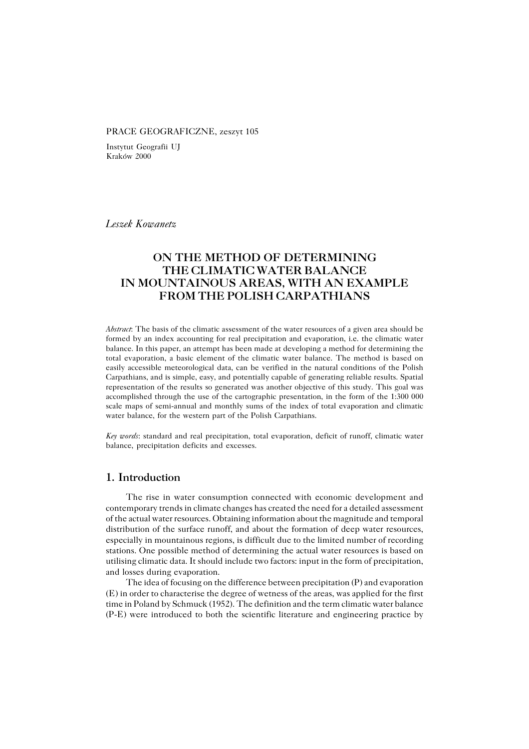#### PRACE GEOGRAFICZNE, zeszyt 105

Instytut Geografii UJ Kraków 2000

*Leszek Kowanetz*

# **ON THE METHOD OF DETERMINING THE CLIMATIC WATER BALANCE IN MOUNTAINOUS AREAS, WITH AN EXAMPLE FROM THE POLISH CARPATHIANS**

*Abstract*: The basis of the climatic assessment of the water resources of a given area should be formed by an index accounting for real precipitation and evaporation, i.e. the climatic water balance. In this paper, an attempt has been made at developing a method for determining the total evaporation, a basic element of the climatic water balance. The method is based on easily accessible meteorological data, can be verified in the natural conditions of the Polish Carpathians, and is simple, easy, and potentially capable of generating reliable results. Spatial representation of the results so generated was another objective of this study. This goal was accomplished through the use of the cartographic presentation, in the form of the 1:300 000 scale maps of semi−annual and monthly sums of the index of total evaporation and climatic water balance, for the western part of the Polish Carpathians.

*Key words*: standard and real precipitation, total evaporation, deficit of runoff, climatic water balance, precipitation deficits and excesses.

## **1. Introduction**

The rise in water consumption connected with economic development and contemporary trends in climate changes has created the need for a detailed assessment of the actual water resources. Obtaining information about the magnitude and temporal distribution of the surface runoff, and about the formation of deep water resources, especially in mountainous regions, is difficult due to the limited number of recording stations. One possible method of determining the actual water resources is based on utilising climatic data. It should include two factors: input in the form of precipitation, and losses during evaporation.

The idea of focusing on the difference between precipitation (P) and evaporation (E) in order to characterise the degree of wetness of the areas, was applied for the first time in Poland by Schmuck (1952). The definition and the term climatic water balance (P−E) were introduced to both the scientific literature and engineering practice by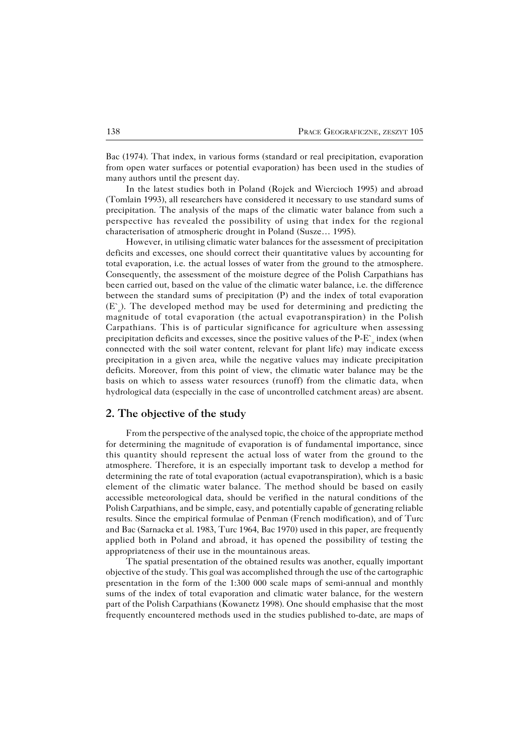Bac (1974). That index, in various forms (standard or real precipitation, evaporation from open water surfaces or potential evaporation) has been used in the studies of many authors until the present day.

In the latest studies both in Poland (Rojek and Wiercioch 1995) and abroad (Tomlain 1993), all researchers have considered it necessary to use standard sums of precipitation. The analysis of the maps of the climatic water balance from such a perspective has revealed the possibility of using that index for the regional characterisation of atmospheric drought in Poland (Susze… 1995).

However, in utilising climatic water balances for the assessment of precipitation deficits and excesses, one should correct their quantitative values by accounting for total evaporation, i.e. the actual losses of water from the ground to the atmosphere. Consequently, the assessment of the moisture degree of the Polish Carpathians has been carried out, based on the value of the climatic water balance, i.e. the difference between the standard sums of precipitation (P) and the index of total evaporation  $(E<sub>o</sub>)$ . The developed method may be used for determining and predicting the magnitude of total evaporation (the actual evapotranspiration) in the Polish Carpathians. This is of particular significance for agriculture when assessing precipitation deficits and excesses, since the positive values of the P-E`  $_{\circ}$  index (when connected with the soil water content, relevant for plant life) may indicate excess precipitation in a given area, while the negative values may indicate precipitation deficits. Moreover, from this point of view, the climatic water balance may be the basis on which to assess water resources (runoff) from the climatic data, when hydrological data (especially in the case of uncontrolled catchment areas) are absent.

### **2. The objective of the study**

From the perspective of the analysed topic, the choice of the appropriate method for determining the magnitude of evaporation is of fundamental importance, since this quantity should represent the actual loss of water from the ground to the atmosphere. Therefore, it is an especially important task to develop a method for determining the rate of total evaporation (actual evapotranspiration), which is a basic element of the climatic water balance. The method should be based on easily accessible meteorological data, should be verified in the natural conditions of the Polish Carpathians, and be simple, easy, and potentially capable of generating reliable results. Since the empirical formulae of Penman (French modification), and of Turc and Bac (Sarnacka et al. 1983, Turc 1964, Bac 1970) used in this paper, are frequently applied both in Poland and abroad, it has opened the possibility of testing the appropriateness of their use in the mountainous areas.

The spatial presentation of the obtained results was another, equally important objective of the study. This goal was accomplished through the use of the cartographic presentation in the form of the 1:300 000 scale maps of semi−annual and monthly sums of the index of total evaporation and climatic water balance, for the western part of the Polish Carpathians (Kowanetz 1998). One should emphasise that the most frequently encountered methods used in the studies published to−date, are maps of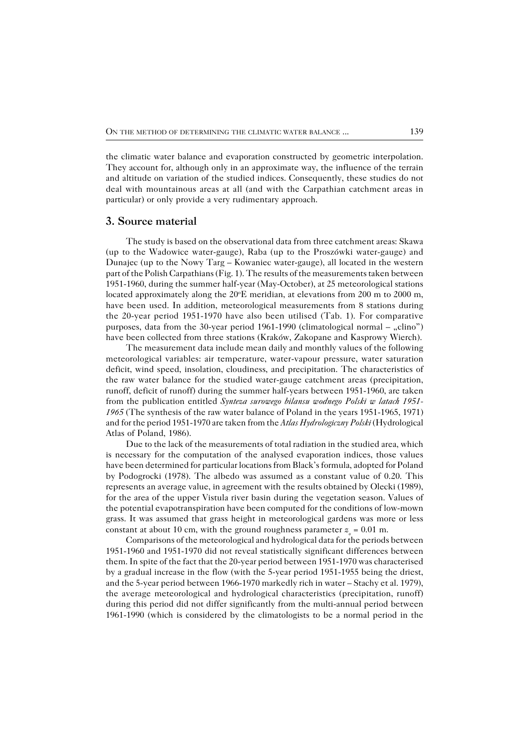the climatic water balance and evaporation constructed by geometric interpolation. They account for, although only in an approximate way, the influence of the terrain and altitude on variation of the studied indices. Consequently, these studies do not deal with mountainous areas at all (and with the Carpathian catchment areas in particular) or only provide a very rudimentary approach.

### **3. Source material**

The study is based on the observational data from three catchment areas: Skawa (up to the Wadowice water−gauge), Raba (up to the Proszówki water−gauge) and Dunajec (up to the Nowy Targ – Kowaniec water−gauge), all located in the western part of the Polish Carpathians (Fig. 1). The results of the measurements taken between 1951−1960, during the summer half−year (May−October), at 25 meteorological stations located approximately along the  $20^{\circ}$ E meridian, at elevations from  $200$  m to  $2000$  m, have been used. In addition, meteorological measurements from 8 stations during the 20−year period 1951−1970 have also been utilised (Tab. 1). For comparative purposes, data from the 30-year period 1961-1990 (climatological normal – "clino") have been collected from three stations (Kraków, Zakopane and Kasprowy Wierch).

The measurement data include mean daily and monthly values of the following meteorological variables: air temperature, water−vapour pressure, water saturation deficit, wind speed, insolation, cloudiness, and precipitation. The characteristics of the raw water balance for the studied water−gauge catchment areas (precipitation, runoff, deficit of runoff) during the summer half−years between 1951−1960, are taken from the publication entitled *Synteza surowego bilansu wodnego Polski w latach 1951− 1965* (The synthesis of the raw water balance of Poland in the years 1951−1965, 1971) and for the period 1951−1970 are taken from the *Atlas Hydrologiczny Polski* (Hydrological Atlas of Poland, 1986).

Due to the lack of the measurements of total radiation in the studied area, which is necessary for the computation of the analysed evaporation indices, those values have been determined for particular locations from Black's formula, adopted for Poland by Podogrocki (1978). The albedo was assumed as a constant value of 0.20. This represents an average value, in agreement with the results obtained by Olecki (1989), for the area of the upper Vistula river basin during the vegetation season. Values of the potential evapotranspiration have been computed for the conditions of low−mown grass. It was assumed that grass height in meteorological gardens was more or less constant at about 10 cm, with the ground roughness parameter  $z_0 = 0.01$  m.

Comparisons of the meteorological and hydrological data for the periods between 1951−1960 and 1951−1970 did not reveal statistically significant differences between them. In spite of the fact that the 20−year period between 1951−1970 was characterised by a gradual increase in the flow (with the 5−year period 1951−1955 being the driest, and the 5−year period between 1966−1970 markedly rich in water – Stachy et al. 1979), the average meteorological and hydrological characteristics (precipitation, runoff) during this period did not differ significantly from the multi−annual period between 1961−1990 (which is considered by the climatologists to be a normal period in the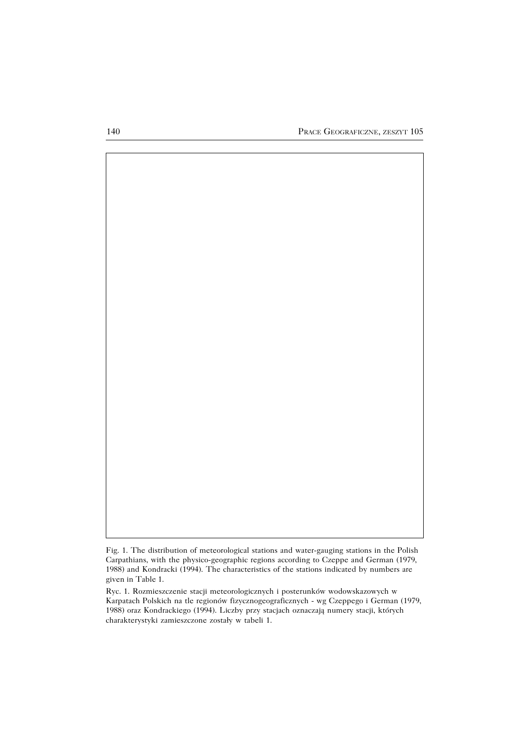

Fig. 1. The distribution of meteorological stations and water−gauging stations in the Polish Carpathians, with the physico−geographic regions according to Czeppe and German (1979, 1988) and Kondracki (1994). The characteristics of the stations indicated by numbers are given in Table 1.

Ryc. 1. Rozmieszczenie stacji meteorologicznych i posterunków wodowskazowych w Karpatach Polskich na tle regionów fizycznogeograficznych − wg Czeppego i German (1979, 1988) oraz Kondrackiego (1994). Liczby przy stacjach oznaczają numery stacji, których charakterystyki zamieszczone zostały w tabeli 1.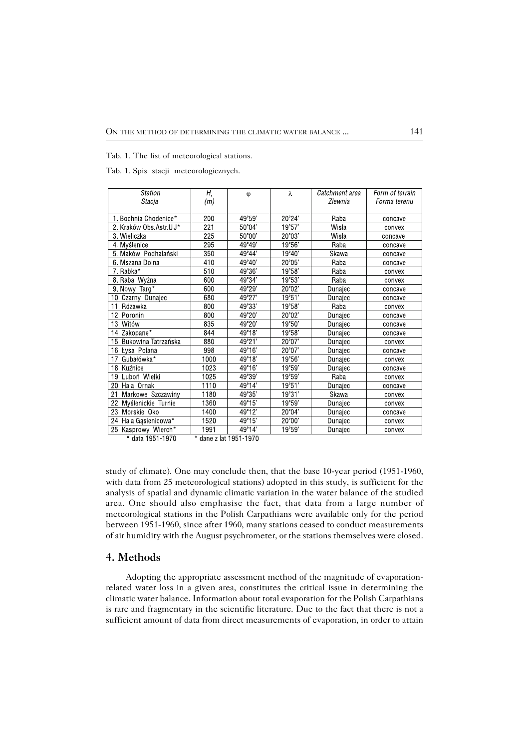Tab. 1. The list of meteorological stations.

Tab. 1. Spis stacji meteorologicznych.

| Station                | $H_{s}$ | φ               | λ               | Catchment area | Form of terrain |
|------------------------|---------|-----------------|-----------------|----------------|-----------------|
| Stacja                 | (m)     |                 |                 | Zlewnia        | Forma terenu    |
|                        |         |                 |                 |                |                 |
| 1. Bochnia Chodenice*  | 200     | 49°59'          | 20°24'          | Raba           | concave         |
| 2. Kraków Obs Astr UJ* | 221     | 50°04'          | 19°57'          | Wisła          | convex          |
| 3 Wieliczka            | 225     | 50°00'          | 20°03'          | Wisła          | concave         |
| 4 Myślenice            | 295     | 49°49'          | 19°56'          | Raba           | concave         |
| 5 Maków Podhalański    | 350     | 49°44'          | 19°40'          | Skawa          | concave         |
| 6. Mszana Dolna        | 410     | 49°40'          | $20^{\circ}05'$ | Raba           | concave         |
| 7. Rabka*              | 510     | 49°36'          | 19°58'          | Raba           | convex          |
| 8 Raba Wyżna           | 600     | 49°34'          | 19°53'          | Raba           | convex          |
| 9. Nowy Targ*          | 600     | 49°29'          | $20^{\circ}02'$ | Dunajec        | concave         |
| 10. Czarny Dunajec     | 680     | 49°27'          | 19°51'          | Dunajec        | concave         |
| 11. Rdzawka            | 800     | 49°33'          | 19°58'          | Raba           | convex          |
| 12 Poronin             | 800     | 49°20'          | $20^{\circ}02'$ | Dunajec        | concave         |
| 13. Witów              | 835     | 49°20'          | 19°50'          | Dunajec        | concave         |
| 14. Zakopane*          | 844     | 49°18'          | 19°58'          | Dunajec        | concave         |
| 15 Bukowina Tatrzańska | 880     | 49°21'          | $20^{\circ}07'$ | Dunajec        | convex          |
| 16 Łysa Polana         | 998     | 49°16'          | 20°07'          | Dunajec        | concave         |
| 17 Gubałówka*          | 1000    | 49°18'          | 19°56'          | Dunajec        | convex          |
| 18. Kuźnice            | 1023    | 49°16'          | 19°59'          | Dunajec        | concave         |
| 19. Luboń Wielki       | 1025    | 49°39'          | 19°59'          | Raba           | convex          |
| 20 Hala Ornak          | 1110    | 49°14'          | 19°51'          | Dunajec        | concave         |
| 21 Markowe Szczawiny   | 1180    | 49°35'          | 19°31'          | Skawa          | convex          |
| 22 Myślenickie Turnie  | 1360    | $49^{\circ}15'$ | 19°59'          | Dunajec        | convex          |
| 23. Morskie Oko        | 1400    | 49°12'          | $20^{\circ}04'$ | Dunajec        | concave         |
| 24. Hala Gasienicowa*  | 1520    | 49°15'          | 20°00'          | Dunajec        | convex          |
| 25. Kasprowy Wierch*   | 1991    | 49°14'          | 19°59'          | Dunajec        | convex          |

\* data 1951-1970 \* dane z lat 1951-1970

study of climate). One may conclude then, that the base 10−year period (1951−1960, with data from 25 meteorological stations) adopted in this study, is sufficient for the analysis of spatial and dynamic climatic variation in the water balance of the studied area. One should also emphasise the fact, that data from a large number of meteorological stations in the Polish Carpathians were available only for the period between 1951−1960, since after 1960, many stations ceased to conduct measurements of air humidity with the August psychrometer, or the stations themselves were closed.

### **4. Methods**

Adopting the appropriate assessment method of the magnitude of evaporation− related water loss in a given area, constitutes the critical issue in determining the climatic water balance. Information about total evaporation for the Polish Carpathians is rare and fragmentary in the scientific literature. Due to the fact that there is not a sufficient amount of data from direct measurements of evaporation, in order to attain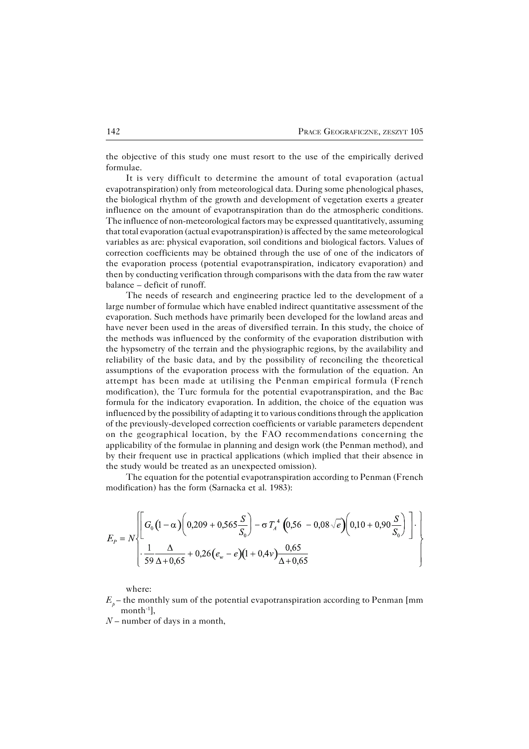the objective of this study one must resort to the use of the empirically derived formulae.

It is very difficult to determine the amount of total evaporation (actual evapotranspiration) only from meteorological data. During some phenological phases, the biological rhythm of the growth and development of vegetation exerts a greater influence on the amount of evapotranspiration than do the atmospheric conditions. The influence of non−meteorological factors may be expressed quantitatively, assuming that total evaporation (actual evapotranspiration) is affected by the same meteorological variables as are: physical evaporation, soil conditions and biological factors. Values of correction coefficients may be obtained through the use of one of the indicators of the evaporation process (potential evapotranspiration, indicatory evaporation) and then by conducting verification through comparisons with the data from the raw water balance – deficit of runoff.

The needs of research and engineering practice led to the development of a large number of formulae which have enabled indirect quantitative assessment of the evaporation. Such methods have primarily been developed for the lowland areas and have never been used in the areas of diversified terrain. In this study, the choice of the methods was influenced by the conformity of the evaporation distribution with the hypsometry of the terrain and the physiographic regions, by the availability and reliability of the basic data, and by the possibility of reconciling the theoretical assumptions of the evaporation process with the formulation of the equation. An attempt has been made at utilising the Penman empirical formula (French modification), the Turc formula for the potential evapotranspiration, and the Bac formula for the indicatory evaporation. In addition, the choice of the equation was influenced by the possibility of adapting it to various conditions through the application of the previously−developed correction coefficients or variable parameters dependent on the geographical location, by the FAO recommendations concerning the applicability of the formulae in planning and design work (the Penman method), and by their frequent use in practical applications (which implied that their absence in the study would be treated as an unexpected omission).

The equation for the potential evapotranspiration according to Penman (French modification) has the form (Sarnacka et al. 1983):

$$
E_{P} = N \left\{ \left[ G_{0} \left( 1 - \alpha \right) \left( 0,209 + 0,565 \frac{S}{S_{0}} \right) - \sigma T_{A}^{4} \left( 0,56 - 0,08 \sqrt{e} \right) \left( 0,10 + 0,90 \frac{S}{S_{0}} \right) \right] \cdot \left[ \frac{1}{59} \frac{\Delta}{\Delta + 0,65} + 0,26 \left( e_{w} - e \right) \left( 1 + 0,4 \sqrt{0.65} \right) \right] \right\}
$$

where:

 $E_{\rho}$  – the monthly sum of the potential evapotranspiration according to Penman [mm month−1],

*N* – number of days in a month,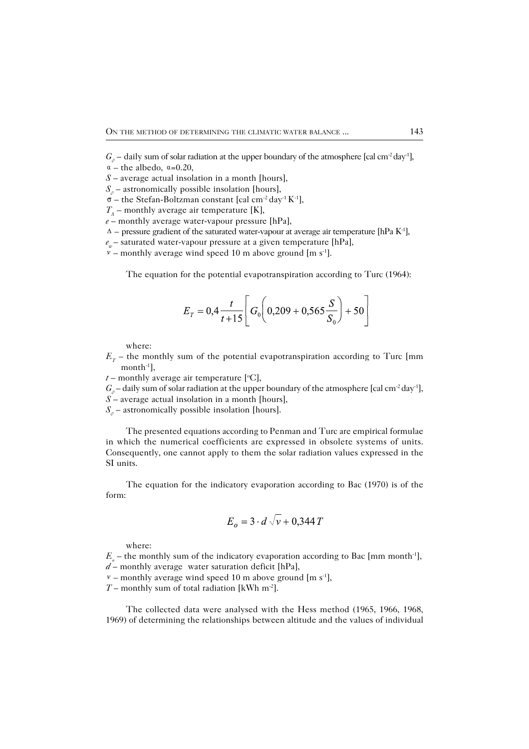- $G_{\rho}$  daily sum of solar radiation at the upper boundary of the atmosphere [cal cm<sup>-2</sup> day<sup>-1</sup>],
- $\alpha$  the albedo,  $\alpha$ =0.20,
- *S* average actual insolation in a month [hours],
- $S_{\rho}$  astronomically possible insolation [hours],
- $\sigma$  the Stefan-Boltzman constant [cal cm<sup>-2</sup> day<sup>-1</sup> K<sup>-1</sup>],
- *TA* – monthly average air temperature [K],
- *e* monthly average water−vapour pressure [hPa],
- *–* pressure gradient of the saturated water−vapour at average air temperature [hPa K−1],
- *e*<sub>w</sub> saturated water-vapour pressure at a given temperature [hPa],
- $v$  monthly average wind speed 10 m above ground [m s<sup>-1</sup>].

The equation for the potential evapotranspiration according to Turc (1964):

$$
E_T = 0.4 \frac{t}{t+15} \left[ G_0 \left( 0.209 + 0.565 \frac{S}{S_0} \right) + 50 \right]
$$

where:

- $E_T$  the monthly sum of the potential evapotranspiration according to Turc [mm month−1],
- $t$  monthly average air temperature  $[°C]$ ,

*G*<sub>*0*</sub> – daily sum of solar radiation at the upper boundary of the atmosphere [cal cm<sup>-2</sup> day<sup>-1</sup>],

- *S* average actual insolation in a month [hours],
- $S_{\rho}$  astronomically possible insolation [hours].

The presented equations according to Penman and Turc are empirical formulae in which the numerical coefficients are expressed in obsolete systems of units. Consequently, one cannot apply to them the solar radiation values expressed in the SI units.

The equation for the indicatory evaporation according to Bac (1970) is of the form:

$$
E_o = 3 \cdot d \sqrt{v} + 0,344 T
$$

where:

*E*<sub>*o*</sub> – the monthly sum of the indicatory evaporation according to Bac [mm month<sup>-1</sup>], *d* – monthly average water saturation deficit [hPa],

 *–* monthly average wind speed 10 m above ground [m s−1],

*T* – monthly sum of total radiation [kWh m<sup>-2</sup>].

The collected data were analysed with the Hess method (1965, 1966, 1968, 1969) of determining the relationships between altitude and the values of individual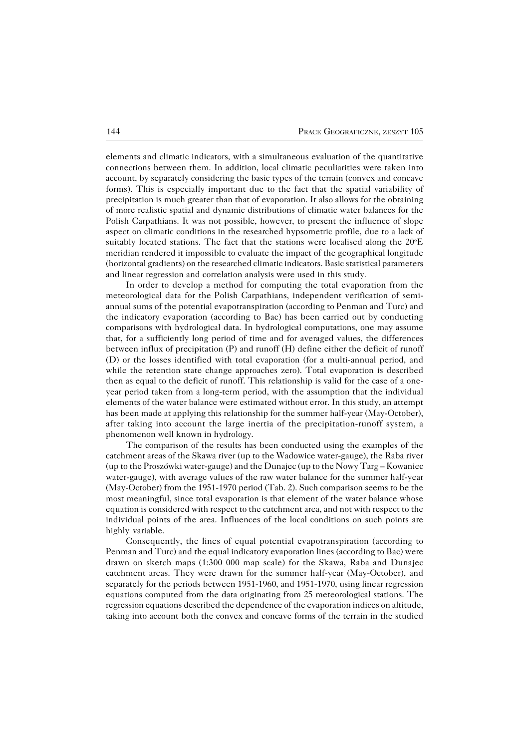elements and climatic indicators, with a simultaneous evaluation of the quantitative connections between them. In addition, local climatic peculiarities were taken into account, by separately considering the basic types of the terrain (convex and concave forms). This is especially important due to the fact that the spatial variability of precipitation is much greater than that of evaporation. It also allows for the obtaining of more realistic spatial and dynamic distributions of climatic water balances for the Polish Carpathians. It was not possible, however, to present the influence of slope aspect on climatic conditions in the researched hypsometric profile, due to a lack of suitably located stations. The fact that the stations were localised along the  $20^{\circ}E$ meridian rendered it impossible to evaluate the impact of the geographical longitude (horizontal gradients) on the researched climatic indicators. Basic statistical parameters and linear regression and correlation analysis were used in this study.

In order to develop a method for computing the total evaporation from the meteorological data for the Polish Carpathians, independent verification of semi− annual sums of the potential evapotranspiration (according to Penman and Turc) and the indicatory evaporation (according to Bac) has been carried out by conducting comparisons with hydrological data. In hydrological computations, one may assume that, for a sufficiently long period of time and for averaged values, the differences between influx of precipitation (P) and runoff (H) define either the deficit of runoff (D) or the losses identified with total evaporation (for a multi−annual period, and while the retention state change approaches zero). Total evaporation is described then as equal to the deficit of runoff. This relationship is valid for the case of a one− year period taken from a long−term period, with the assumption that the individual elements of the water balance were estimated without error. In this study, an attempt has been made at applying this relationship for the summer half−year (May−October), after taking into account the large inertia of the precipitation−runoff system, a phenomenon well known in hydrology.

The comparison of the results has been conducted using the examples of the catchment areas of the Skawa river (up to the Wadowice water−gauge), the Raba river (up to the Proszówki water−gauge) and the Dunajec (up to the Nowy Targ – Kowaniec water−gauge), with average values of the raw water balance for the summer half−year (May−October) from the 1951−1970 period (Tab. 2). Such comparison seems to be the most meaningful, since total evaporation is that element of the water balance whose equation is considered with respect to the catchment area, and not with respect to the individual points of the area. Influences of the local conditions on such points are highly variable.

Consequently, the lines of equal potential evapotranspiration (according to Penman and Turc) and the equal indicatory evaporation lines (according to Bac) were drawn on sketch maps (1:300 000 map scale) for the Skawa, Raba and Dunajec catchment areas. They were drawn for the summer half−year (May−October), and separately for the periods between 1951−1960, and 1951−1970, using linear regression equations computed from the data originating from 25 meteorological stations. The regression equations described the dependence of the evaporation indices on altitude, taking into account both the convex and concave forms of the terrain in the studied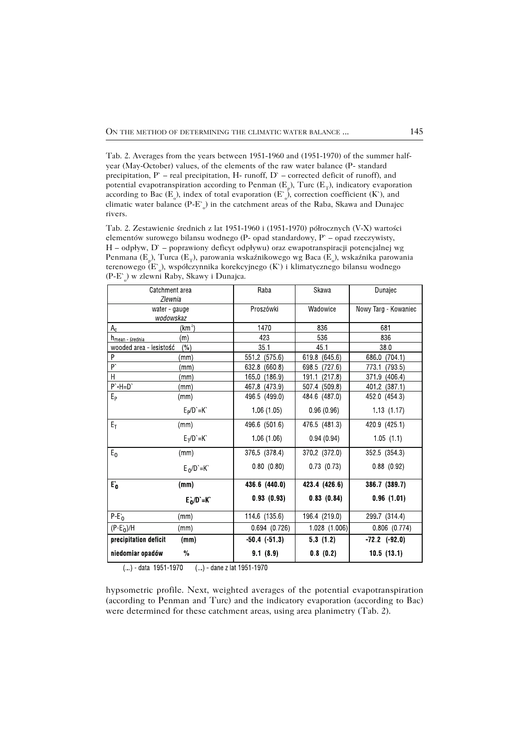Tab. 2. Averages from the years between 1951−1960 and (1951−1970) of the summer half− year (May−October) values, of the elements of the raw water balance (P− standard precipitation, P` – real precipitation, H− runoff, D` – corrected deficit of runoff), and potential evapotranspiration according to Penman (E<sub>p</sub>), Turc (E<sub>T</sub>), indicatory evaporation according to Bac (E<sub>0</sub>), index of total evaporation (E<sup>0</sup><sub>0</sub>), correction coefficient (K<sup>o</sup>), and climatic water balance (P−E` o ) in the catchment areas of the Raba, Skawa and Dunajec rivers.

Tab. 2. Zestawienie średnich z lat 1951−1960 i (1951−1970) półrocznych (V−X) wartości elementów surowego bilansu wodnego (P− opad standardowy, P` – opad rzeczywisty, H – odpływ, D` – poprawiony deficyt odpływu) oraz ewapotranspiracji potencjalnej wg Penmana (E<sub>p</sub>), Turca (E<sub>T</sub>), parowania wskaźnikowego wg Baca (E<sub>0</sub>), wskaźnika parowania terenowego (E` o ), współczynnika korekcyjnego (K`) i klimatycznego bilansu wodnego (P−E` o ) w zlewni Raby, Skawy i Dunajca.

| Catchment area                 |                    | Raba          | Skawa            | Dunajec            |
|--------------------------------|--------------------|---------------|------------------|--------------------|
| Zlewnia<br>water - gauge       |                    | Proszówki     | Wadowice         | Nowy Targ Kowaniec |
| wodowskaz                      |                    |               |                  |                    |
| $A_{c}$                        | (km <sup>2</sup> ) | 1470          | 836              | 681                |
| h <sub>mean średnia</sub>      | (m)                | 423           | 536              | 836                |
| wooded area - lesistość<br>(%) |                    | 35.1          | 45 1             | 380                |
| P                              | (mm)               | 551 2 (575.6) | 619.8 (645.6)    | 686.0 (704.1)      |
| b,                             | (mm)               | 632 8 (660 8) | 698.5<br>(727.6) | (793.5)<br>7731    |
| H                              | (mm)               | 165 0 (186 9) | 191.1<br>(217.8) | 3719 (4064)        |
| $P' - H = D'$                  | (mm)               | 467 8 (473 9) | 507 4 (509 8)    | 401 2 (387.1)      |
| $E_{\rm p}$                    | (mm)               | 496 5 (499.0) | 484 6 (487 0)    | 452 0 (454.3)      |
|                                | $E_P/D = K$        | 1.06(1.05)    | 0.96(0.96)       | 1.13(1.17)         |
| $E_T$                          | (mm)               | 496 6 (501 6) | 476 5 (481.3)    | 420 9 (425 1)      |
|                                | $E_T/D = K$        | 1.06(1.06)    | 0.94(0.94)       | 1.05(1.1)          |
| $E_0$                          | (mm)               | 376 5 (378 4) | 370.2 (372.0)    | 352 5 (354 3)      |
|                                | $E_0/D = K$        | 0.80(0.80)    | 0 73 (0 73)      | 0.88(0.92)         |
| $E_0$                          | (mm)               | 436 6 (440 0) | 423 4 (426.6)    | 386 7 (389 7)      |
|                                | $E_0/D = K$        | 0.93(0.93)    | 0.83(0.84)       | 0.96(1.01)         |
| $P-E0$                         | (mm)               | 114.6 (135.6) | 196.4 (219.0)    | 299 7 (314.4)      |
| $(P-E0)/H$                     | (mm)               | 0 694 (0 726) | 1 028 (1 006)    | 0.806 (0.774)      |
| precipitation deficit<br>(mm)  |                    | $-50.4(51.3)$ | 53(12)           | 722(920)           |
| niedomiar opadów               | $\frac{0}{0}$      | 91(8.9)       | 0.8(0.2)         | 10.5(13.1)         |

(...) - data 1951-1970 (...) - dane z lat 1951-1970

hypsometric profile. Next, weighted averages of the potential evapotranspiration (according to Penman and Turc) and the indicatory evaporation (according to Bac) were determined for these catchment areas, using area planimetry (Tab. 2).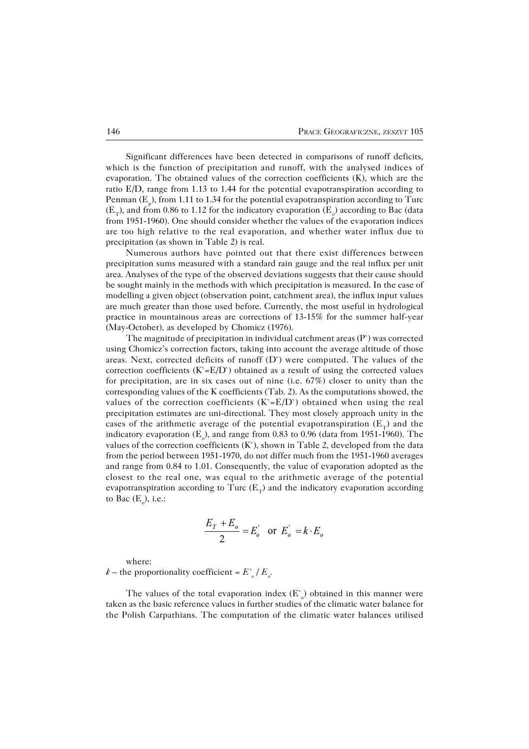Significant differences have been detected in comparisons of runoff deficits, which is the function of precipitation and runoff, with the analysed indices of evaporation. The obtained values of the correction coefficients (K), which are the ratio E/D, range from 1.13 to 1.44 for the potential evapotranspiration according to Penman (E<sub>p</sub>), from 1.11 to 1.34 for the potential evapotranspiration according to Turc  $(E_T)$ , and from 0.86 to 1.12 for the indicatory evaporation  $(E_{\circ})$  according to Bac (data from 1951−1960). One should consider whether the values of the evaporation indices are too high relative to the real evaporation, and whether water influx due to precipitation (as shown in Table 2) is real.

Numerous authors have pointed out that there exist differences between precipitation sums measured with a standard rain gauge and the real influx per unit area. Analyses of the type of the observed deviations suggests that their cause should be sought mainly in the methods with which precipitation is measured. In the case of modelling a given object (observation point, catchment area), the influx input values are much greater than those used before. Currently, the most useful in hydrological practice in mountainous areas are corrections of 13−15% for the summer half−year (May−October), as developed by Chomicz (1976).

The magnitude of precipitation in individual catchment areas  $(P)$  was corrected using Chomicz's correction factors, taking into account the average altitude of those areas. Next, corrected deficits of runoff  $(D)$  were computed. The values of the correction coefficients  $(K=E/D)$  obtained as a result of using the corrected values for precipitation, are in six cases out of nine (i.e. 67%) closer to unity than the corresponding values of the K coefficients (Tab. 2). As the computations showed, the values of the correction coefficients  $(K = E/D)$  obtained when using the real precipitation estimates are uni−directional. They most closely approach unity in the cases of the arithmetic average of the potential evapotranspiration  $(E_T)$  and the indicatory evaporation (E<sub>0</sub>), and range from 0.83 to 0.96 (data from 1951-1960). The values of the correction coefficients  $(K)$ , shown in Table 2, developed from the data from the period between 1951−1970, do not differ much from the 1951−1960 averages and range from 0.84 to 1.01. Consequently, the value of evaporation adopted as the closest to the real one, was equal to the arithmetic average of the potential evapotranspiration according to Turc (E<sub>T</sub>) and the indicatory evaporation according to Bac  $(E_{\circ})$ , i.e.:

$$
\frac{E_T + E_o}{2} = E_o' \quad \text{or} \ \ E_o' = k \cdot E_o
$$

where:

 $k -$  the proportionality coefficient =  $E^{\circ}/E_{\rho}$ .

The values of the total evaporation index  $(E_{o}^{s})$  obtained in this manner were taken as the basic reference values in further studies of the climatic water balance for the Polish Carpathians. The computation of the climatic water balances utilised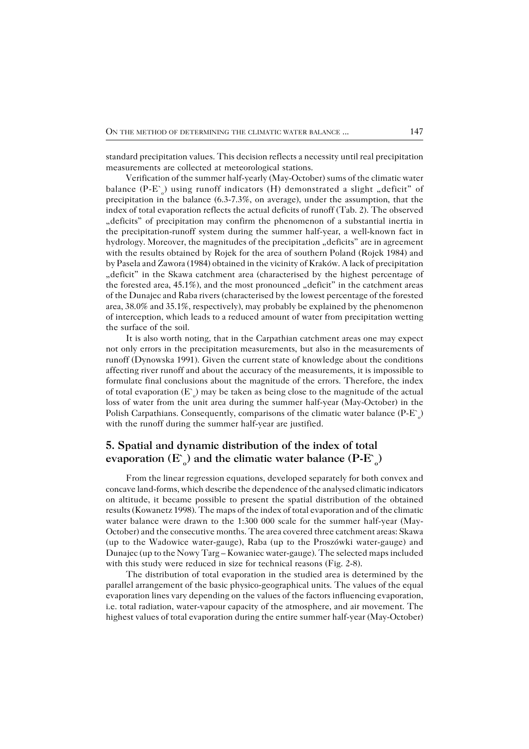standard precipitation values. This decision reflects a necessity until real precipitation measurements are collected at meteorological stations.

Verification of the summer half−yearly (May−October) sums of the climatic water balance (P-E`<sub>o</sub>) using runoff indicators (H) demonstrated a slight "deficit" of precipitation in the balance (6.3−7.3%, on average), under the assumption, that the index of total evaporation reflects the actual deficits of runoff (Tab. 2). The observed "deficits" of precipitation may confirm the phenomenon of a substantial inertia in the precipitation−runoff system during the summer half−year, a well−known fact in hydrology. Moreover, the magnitudes of the precipitation "deficits" are in agreement with the results obtained by Rojek for the area of southern Poland (Rojek 1984) and by Pasela and Zawora (1984) obtained in the vicinity of Kraków. A lack of precipitation "deficit" in the Skawa catchment area (characterised by the highest percentage of the forested area,  $45.1\%$ ), and the most pronounced "deficit" in the catchment areas of the Dunajec and Raba rivers (characterised by the lowest percentage of the forested area, 38.0% and 35.1%, respectively), may probably be explained by the phenomenon of interception, which leads to a reduced amount of water from precipitation wetting the surface of the soil.

It is also worth noting, that in the Carpathian catchment areas one may expect not only errors in the precipitation measurements, but also in the measurements of runoff (Dynowska 1991). Given the current state of knowledge about the conditions affecting river runoff and about the accuracy of the measurements, it is impossible to formulate final conclusions about the magnitude of the errors. Therefore, the index of total evaporation (E  $_{\circ}$ ) may be taken as being close to the magnitude of the actual loss of water from the unit area during the summer half−year (May−October) in the Polish Carpathians. Consequently, comparisons of the climatic water balance (P-E`<sub>o</sub>) with the runoff during the summer half−year are justified.

# **5. Spatial and dynamic distribution of the index of total evaporation** (E`<sub>o</sub>) and the climatic water balance (P−E`<sub>o</sub>)

From the linear regression equations, developed separately for both convex and concave land−forms, which describe the dependence of the analysed climatic indicators on altitude, it became possible to present the spatial distribution of the obtained results (Kowanetz 1998). The maps of the index of total evaporation and of the climatic water balance were drawn to the 1:300 000 scale for the summer half−year (May− October) and the consecutive months. The area covered three catchment areas: Skawa (up to the Wadowice water−gauge), Raba (up to the Proszówki water−gauge) and Dunajec (up to the Nowy Targ – Kowaniec water−gauge). The selected maps included with this study were reduced in size for technical reasons (Fig. 2−8).

The distribution of total evaporation in the studied area is determined by the parallel arrangement of the basic physico−geographical units. The values of the equal evaporation lines vary depending on the values of the factors influencing evaporation, i.e. total radiation, water−vapour capacity of the atmosphere, and air movement. The highest values of total evaporation during the entire summer half−year (May−October)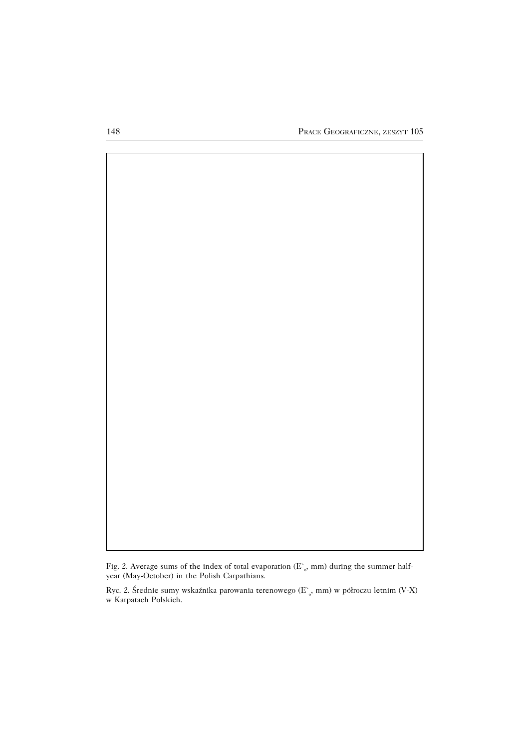

Fig. 2. Average sums of the index of total evaporation ( $E^{\sim}_{o}$ , mm) during the summer halfyear (May−October) in the Polish Carpathians.

Ryc. 2. Średnie sumy wskaźnika parowania terenowego ( $E^{\sim}_{o}$ , mm) w półroczu letnim (V-X) w Karpatach Polskich.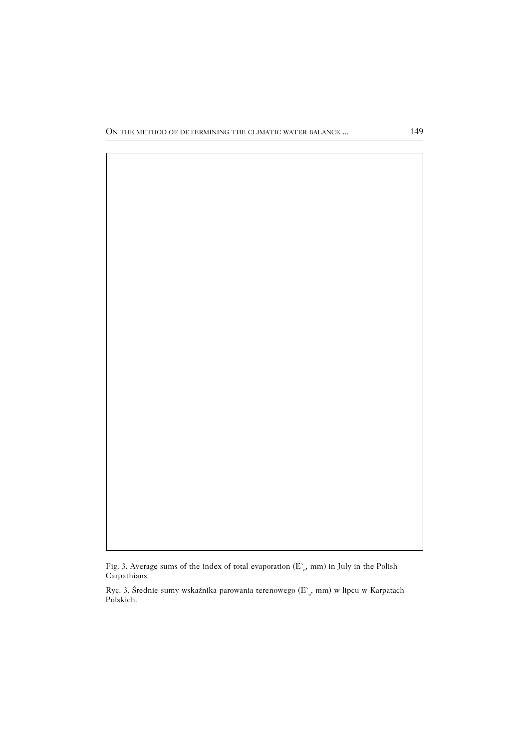Fig. 3. Average sums of the index of total evaporation ( $E_o$ , mm) in July in the Polish Carpathians.

Ryc. 3. Średnie sumy wskaźnika parowania terenowego (E`<sub>o</sub>, mm) w lipcu w Karpatach Polskich.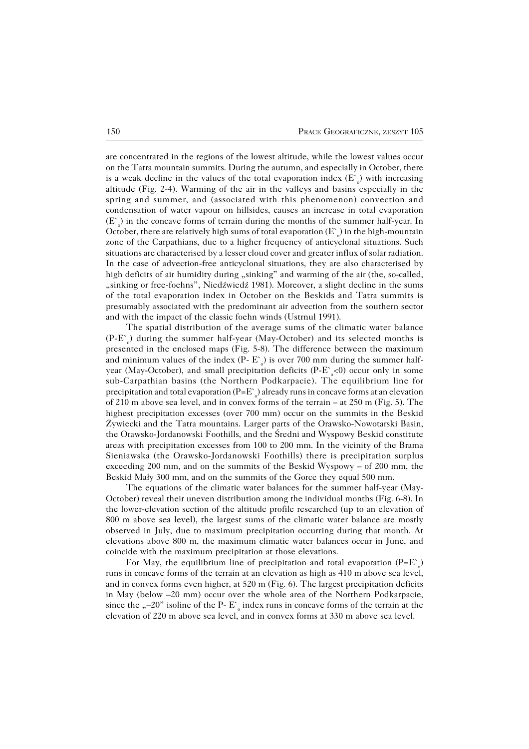are concentrated in the regions of the lowest altitude, while the lowest values occur on the Tatra mountain summits. During the autumn, and especially in October, there is a weak decline in the values of the total evaporation index  $(E_{o})$  with increasing altitude (Fig. 2−4). Warming of the air in the valleys and basins especially in the spring and summer, and (associated with this phenomenon) convection and condensation of water vapour on hillsides, causes an increase in total evaporation (E` o ) in the concave forms of terrain during the months of the summer half−year. In October, there are relatively high sums of total evaporation ( $E^{\sim}_{o}$ ) in the high-mountain zone of the Carpathians, due to a higher frequency of anticyclonal situations. Such situations are characterised by a lesser cloud cover and greater influx of solar radiation. In the case of advection−free anticyclonal situations, they are also characterised by high deficits of air humidity during "sinking" and warming of the air (the, so-called, "sinking or free-foehns", Niedźwiedź 1981). Moreover, a slight decline in the sums of the total evaporation index in October on the Beskids and Tatra summits is presumably associated with the predominant air advection from the southern sector and with the impact of the classic foehn winds (Ustrnul 1991).

The spatial distribution of the average sums of the climatic water balance (P-E`<sub>o</sub>) during the summer half-year (May-October) and its selected months is presented in the enclosed maps (Fig. 5−8). The difference between the maximum and minimum values of the index (P-  $E^{\sim}_{o}$ ) is over 700 mm during the summer halfyear (May-October), and small precipitation deficits (P-E`<sub>o</sub><0) occur only in some sub−Carpathian basins (the Northern Podkarpacie). The equilibrium line for precipitation and total evaporation (P=E`  $_{\circ}$ ) already runs in concave forms at an elevation of 210 m above sea level, and in convex forms of the terrain – at 250 m (Fig. 5). The highest precipitation excesses (over 700 mm) occur on the summits in the Beskid Żywiecki and the Tatra mountains. Larger parts of the Orawsko−Nowotarski Basin, the Orawsko−Jordanowski Foothills, and the Średni and Wyspowy Beskid constitute areas with precipitation excesses from 100 to 200 mm. In the vicinity of the Brama Sieniawska (the Orawsko−Jordanowski Foothills) there is precipitation surplus exceeding 200 mm, and on the summits of the Beskid Wyspowy – of 200 mm, the Beskid Mały 300 mm, and on the summits of the Gorce they equal 500 mm.

The equations of the climatic water balances for the summer half−year (May− October) reveal their uneven distribution among the individual months (Fig. 6−8). In the lower−elevation section of the altitude profile researched (up to an elevation of 800 m above sea level), the largest sums of the climatic water balance are mostly observed in July, due to maximum precipitation occurring during that month. At elevations above 800 m, the maximum climatic water balances occur in June, and coincide with the maximum precipitation at those elevations.

For May, the equilibrium line of precipitation and total evaporation  $(P=E_{o}^{s})$ runs in concave forms of the terrain at an elevation as high as 410 m above sea level, and in convex forms even higher, at 520 m (Fig. 6). The largest precipitation deficits in May (below –20 mm) occur over the whole area of the Northern Podkarpacie, since the "–20" isoline of the P-  $E^{\sim}$  index runs in concave forms of the terrain at the elevation of 220 m above sea level, and in convex forms at 330 m above sea level.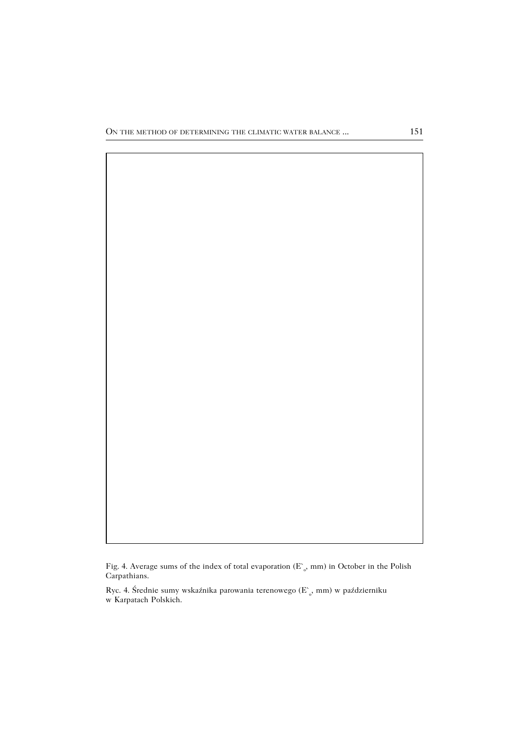Fig. 4. Average sums of the index of total evaporation  $(E_{o}^{*}, mm)$  in October in the Polish Carpathians.

Ryc. 4. Średnie sumy wskaźnika parowania terenowego ( $\text{E}^{\scriptscriptstyle{\sim}}_{\,\mathrm{o}},$  mm) w październiku w Karpatach Polskich.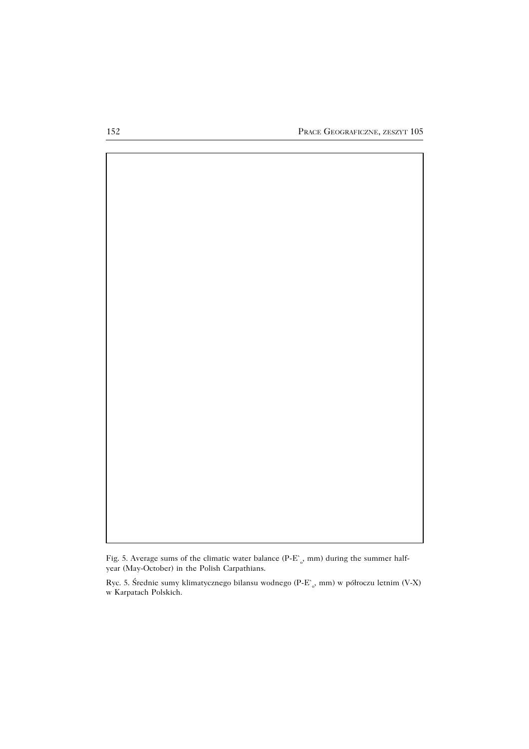

Fig. 5. Average sums of the climatic water balance (P-E`<sub>o</sub>, mm) during the summer halfyear (May−October) in the Polish Carpathians.

Ryc. 5. Średnie sumy klimatycznego bilansu wodnego (P−E` o , mm) w półroczu letnim (V−X) w Karpatach Polskich.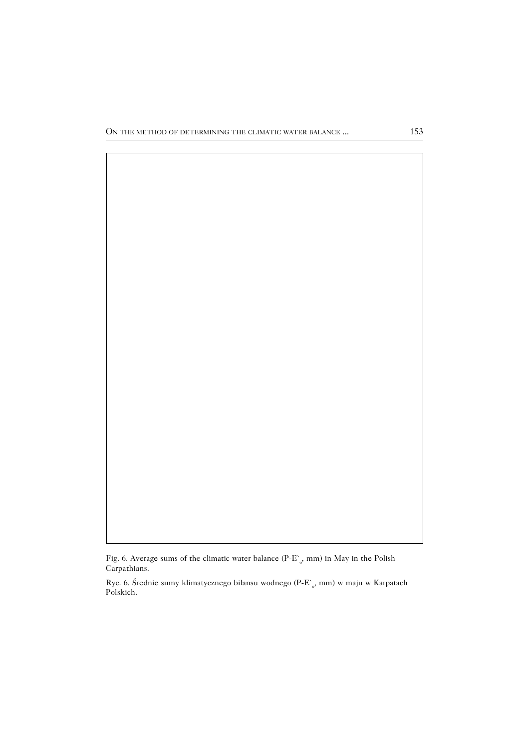Fig. 6. Average sums of the climatic water balance (P-E`<sub>o</sub>, mm) in May in the Polish Carpathians.

Ryc. 6. Średnie sumy klimatycznego bilansu wodnego (P−E` o , mm) w maju w Karpatach Polskich.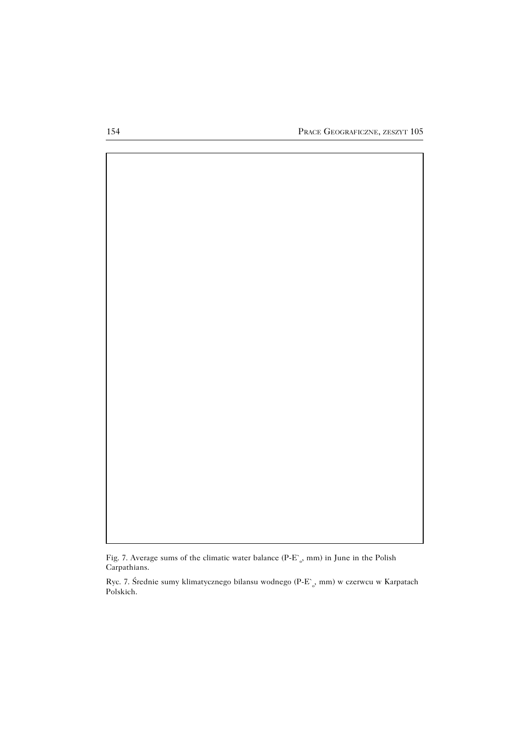

Fig. 7. Average sums of the climatic water balance (P-E`<sub>o</sub>, mm) in June in the Polish Carpathians.

Ryc. 7. Średnie sumy klimatycznego bilansu wodnego (P−E` o , mm) w czerwcu w Karpatach Polskich.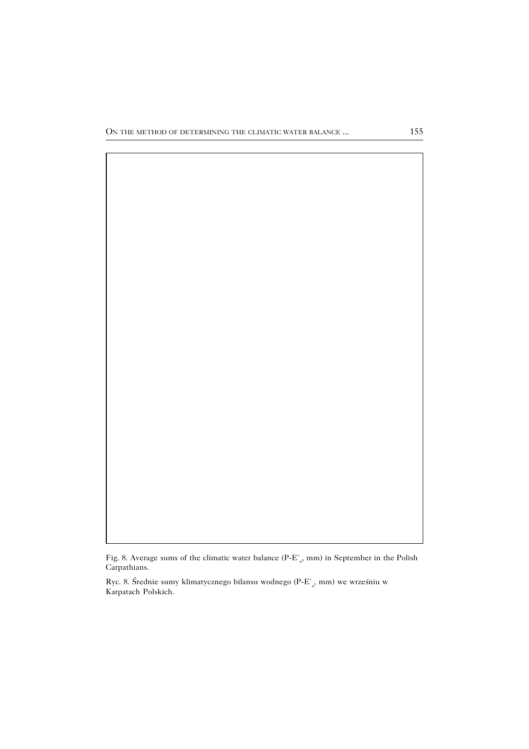

Fig. 8. Average sums of the climatic water balance (P-E`<sub>o</sub>, mm) in September in the Polish Carpathians.

Ryc. 8. Średnie sumy klimatycznego bilansu wodnego (P−E` o , mm) we wrześniu w Karpatach Polskich.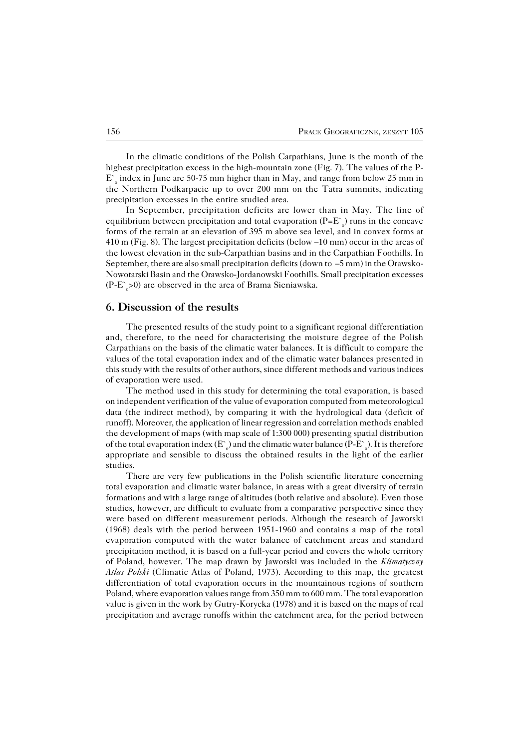In the climatic conditions of the Polish Carpathians, June is the month of the highest precipitation excess in the high−mountain zone (Fig. 7). The values of the P− E` o index in June are 50−75 mm higher than in May, and range from below 25 mm in the Northern Podkarpacie up to over 200 mm on the Tatra summits, indicating precipitation excesses in the entire studied area.

In September, precipitation deficits are lower than in May. The line of equilibrium between precipitation and total evaporation (P=E $^{\circ}$ <sub>o</sub>) runs in the concave forms of the terrain at an elevation of 395 m above sea level, and in convex forms at 410 m (Fig. 8). The largest precipitation deficits (below –10 mm) occur in the areas of the lowest elevation in the sub−Carpathian basins and in the Carpathian Foothills. In September, there are also small precipitation deficits (down to –5 mm) in the Orawsko− Nowotarski Basin and the Orawsko−Jordanowski Foothills. Small precipitation excesses (P-E`<sub>o</sub>>0) are observed in the area of Brama Sieniawska.

### **6. Discussion of the results**

The presented results of the study point to a significant regional differentiation and, therefore, to the need for characterising the moisture degree of the Polish Carpathians on the basis of the climatic water balances. It is difficult to compare the values of the total evaporation index and of the climatic water balances presented in this study with the results of other authors, since different methods and various indices of evaporation were used.

The method used in this study for determining the total evaporation, is based on independent verification of the value of evaporation computed from meteorological data (the indirect method), by comparing it with the hydrological data (deficit of runoff). Moreover, the application of linear regression and correlation methods enabled the development of maps (with map scale of 1:300 000) presenting spatial distribution of the total evaporation index (E`  $_{\rm o}$ ) and the climatic water balance (P-E`  $_{\rm o}$ ). It is therefore appropriate and sensible to discuss the obtained results in the light of the earlier studies.

There are very few publications in the Polish scientific literature concerning total evaporation and climatic water balance, in areas with a great diversity of terrain formations and with a large range of altitudes (both relative and absolute). Even those studies, however, are difficult to evaluate from a comparative perspective since they were based on different measurement periods. Although the research of Jaworski (1968) deals with the period between 1951−1960 and contains a map of the total evaporation computed with the water balance of catchment areas and standard precipitation method, it is based on a full−year period and covers the whole territory of Poland, however. The map drawn by Jaworski was included in the *Klimatyczny Atlas Polski* (Climatic Atlas of Poland, 1973). According to this map, the greatest differentiation of total evaporation occurs in the mountainous regions of southern Poland, where evaporation values range from 350 mm to 600 mm. The total evaporation value is given in the work by Gutry−Korycka (1978) and it is based on the maps of real precipitation and average runoffs within the catchment area, for the period between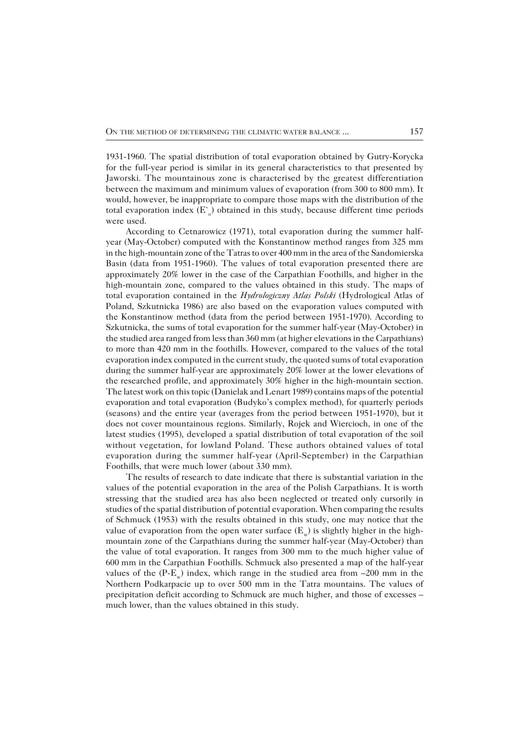1931−1960. The spatial distribution of total evaporation obtained by Gutry−Korycka for the full−year period is similar in its general characteristics to that presented by Jaworski. The mountainous zone is characterised by the greatest differentiation between the maximum and minimum values of evaporation (from 300 to 800 mm). It would, however, be inappropriate to compare those maps with the distribution of the total evaporation index  $(E_{o}^{s})$  obtained in this study, because different time periods were used.

According to Cetnarowicz (1971), total evaporation during the summer half− year (May−October) computed with the Konstantinow method ranges from 325 mm in the high−mountain zone of the Tatras to over 400 mm in the area of the Sandomierska Basin (data from 1951−1960). The values of total evaporation presented there are approximately 20% lower in the case of the Carpathian Foothills, and higher in the high−mountain zone, compared to the values obtained in this study. The maps of total evaporation contained in the *Hydrologiczny Atlas Polski* (Hydrological Atlas of Poland, Szkutnicka 1986) are also based on the evaporation values computed with the Konstantinow method (data from the period between 1951−1970). According to Szkutnicka, the sums of total evaporation for the summer half−year (May−October) in the studied area ranged from less than 360 mm (at higher elevations in the Carpathians) to more than 420 mm in the foothills. However, compared to the values of the total evaporation index computed in the current study, the quoted sums of total evaporation during the summer half−year are approximately 20% lower at the lower elevations of the researched profile, and approximately 30% higher in the high−mountain section. The latest work on this topic (Danielak and Lenart 1989) contains maps of the potential evaporation and total evaporation (Budyko's complex method), for quarterly periods (seasons) and the entire year (averages from the period between 1951−1970), but it does not cover mountainous regions. Similarly, Rojek and Wiercioch, in one of the latest studies (1995), developed a spatial distribution of total evaporation of the soil without vegetation, for lowland Poland. These authors obtained values of total evaporation during the summer half−year (April−September) in the Carpathian Foothills, that were much lower (about 330 mm).

The results of research to date indicate that there is substantial variation in the values of the potential evaporation in the area of the Polish Carpathians. It is worth stressing that the studied area has also been neglected or treated only cursorily in studies of the spatial distribution of potential evaporation. When comparing the results of Schmuck (1953) with the results obtained in this study, one may notice that the value of evaporation from the open water surface ( $E_w$ ) is slightly higher in the highmountain zone of the Carpathians during the summer half−year (May−October) than the value of total evaporation. It ranges from 300 mm to the much higher value of 600mm in the Carpathian Foothills. Schmuck also presented a map of the half−year values of the (P- $E_w$ ) index, which range in the studied area from –200 mm in the Northern Podkarpacie up to over 500 mm in the Tatra mountains. The values of precipitation deficit according to Schmuck are much higher, and those of excesses – much lower, than the values obtained in this study.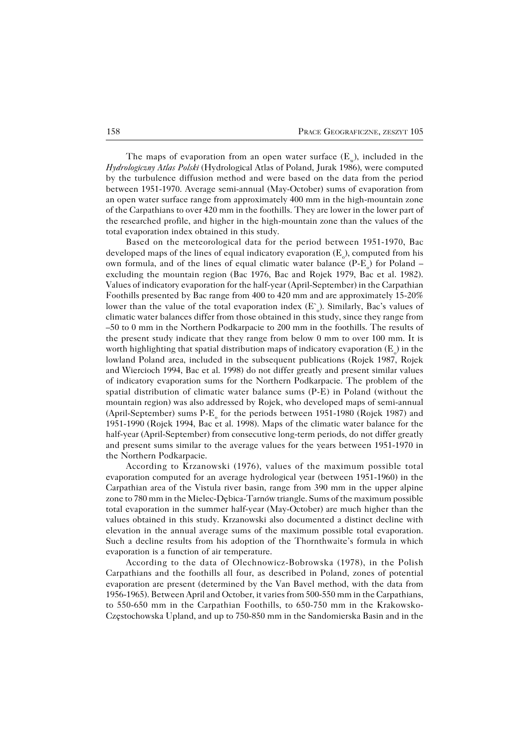The maps of evaporation from an open water surface  $(E_w)$ , included in the *Hydrologiczny Atlas Polski* (Hydrological Atlas of Poland, Jurak 1986), were computed by the turbulence diffusion method and were based on the data from the period between 1951−1970. Average semi−annual (May−October) sums of evaporation from an open water surface range from approximately 400 mm in the high−mountain zone of the Carpathians to over 420 mm in the foothills. They are lower in the lower part of the researched profile, and higher in the high−mountain zone than the values of the total evaporation index obtained in this study.

Based on the meteorological data for the period between 1951−1970, Bac developed maps of the lines of equal indicatory evaporation (E  $_{\rm o}$ ), computed from his own formula, and of the lines of equal climatic water balance (P-E<sub>o</sub>) for Poland – excluding the mountain region (Bac 1976, Bac and Rojek 1979, Bac et al. 1982). Values of indicatory evaporation for the half−year (April−September) in the Carpathian Foothills presented by Bac range from 400 to 420 mm and are approximately 15−20% lower than the value of the total evaporation index  $(E_{o}^{s})$ . Similarly, Bac's values of climatic water balances differ from those obtained in this study, since they range from –50 to 0 mm in the Northern Podkarpacie to 200 mm in the foothills. The results of the present study indicate that they range from below 0 mm to over 100 mm. It is worth highlighting that spatial distribution maps of indicatory evaporation (E  $_{\rm o}$ ) in the lowland Poland area, included in the subsequent publications (Rojek 1987, Rojek and Wiercioch 1994, Bac et al. 1998) do not differ greatly and present similar values of indicatory evaporation sums for the Northern Podkarpacie. The problem of the spatial distribution of climatic water balance sums (P−E) in Poland (without the mountain region) was also addressed by Rojek, who developed maps of semi−annual (April-September) sums  $P-E$ <sub>o</sub> for the periods between 1951-1980 (Rojek 1987) and 1951−1990 (Rojek 1994, Bac et al. 1998). Maps of the climatic water balance for the half−year (April−September) from consecutive long−term periods, do not differ greatly and present sums similar to the average values for the years between 1951−1970 in the Northern Podkarpacie.

According to Krzanowski (1976), values of the maximum possible total evaporation computed for an average hydrological year (between 1951−1960) in the Carpathian area of the Vistula river basin, range from 390 mm in the upper alpine zone to 780 mm in the Mielec−Dębica−Tarnów triangle. Sums of the maximum possible total evaporation in the summer half−year (May−October) are much higher than the values obtained in this study. Krzanowski also documented a distinct decline with elevation in the annual average sums of the maximum possible total evaporation. Such a decline results from his adoption of the Thornthwaite's formula in which evaporation is a function of air temperature.

According to the data of Olechnowicz−Bobrowska (1978), in the Polish Carpathians and the foothills all four, as described in Poland, zones of potential evaporation are present (determined by the Van Bavel method, with the data from 1956−1965). Between April and October, it varies from 500−550 mm in the Carpathians, to 550−650 mm in the Carpathian Foothills, to 650−750 mm in the Krakowsko− Częstochowska Upland, and up to 750−850 mm in the Sandomierska Basin and in the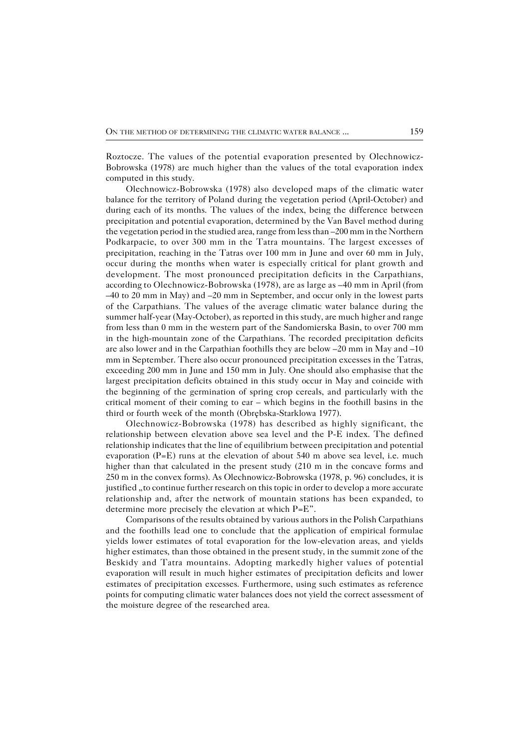Roztocze. The values of the potential evaporation presented by Olechnowicz− Bobrowska (1978) are much higher than the values of the total evaporation index computed in this study.

Olechnowicz−Bobrowska (1978) also developed maps of the climatic water balance for the territory of Poland during the vegetation period (April−October) and during each of its months. The values of the index, being the difference between precipitation and potential evaporation, determined by the Van Bavel method during the vegetation period in the studied area, range from less than –200 mm in the Northern Podkarpacie, to over 300 mm in the Tatra mountains. The largest excesses of precipitation, reaching in the Tatras over 100 mm in June and over 60 mm in July, occur during the months when water is especially critical for plant growth and development. The most pronounced precipitation deficits in the Carpathians, according to Olechnowicz−Bobrowska (1978), are as large as –40 mm in April (from –40 to 20 mm in May) and –20 mm in September, and occur only in the lowest parts of the Carpathians. The values of the average climatic water balance during the summer half−year (May−October), as reported in this study, are much higher and range from less than 0 mm in the western part of the Sandomierska Basin, to over 700 mm in the high−mountain zone of the Carpathians. The recorded precipitation deficits are also lower and in the Carpathian foothills they are below –20 mm in May and –10 mm in September. There also occur pronounced precipitation excesses in the Tatras, exceeding 200 mm in June and 150 mm in July. One should also emphasise that the largest precipitation deficits obtained in this study occur in May and coincide with the beginning of the germination of spring crop cereals, and particularly with the critical moment of their coming to ear – which begins in the foothill basins in the third or fourth week of the month (Obrębska−Starklowa 1977).

Olechnowicz−Bobrowska (1978) has described as highly significant, the relationship between elevation above sea level and the P−E index. The defined relationship indicates that the line of equilibrium between precipitation and potential evaporation  $(P=E)$  runs at the elevation of about 540 m above sea level, i.e. much higher than that calculated in the present study (210 m in the concave forms and 250m in the convex forms). As Olechnowicz−Bobrowska (1978, p. 96) concludes, it is justified "to continue further research on this topic in order to develop a more accurate relationship and, after the network of mountain stations has been expanded, to determine more precisely the elevation at which P=E".

Comparisons of the results obtained by various authors in the Polish Carpathians and the foothills lead one to conclude that the application of empirical formulae yields lower estimates of total evaporation for the low−elevation areas, and yields higher estimates, than those obtained in the present study, in the summit zone of the Beskidy and Tatra mountains. Adopting markedly higher values of potential evaporation will result in much higher estimates of precipitation deficits and lower estimates of precipitation excesses. Furthermore, using such estimates as reference points for computing climatic water balances does not yield the correct assessment of the moisture degree of the researched area.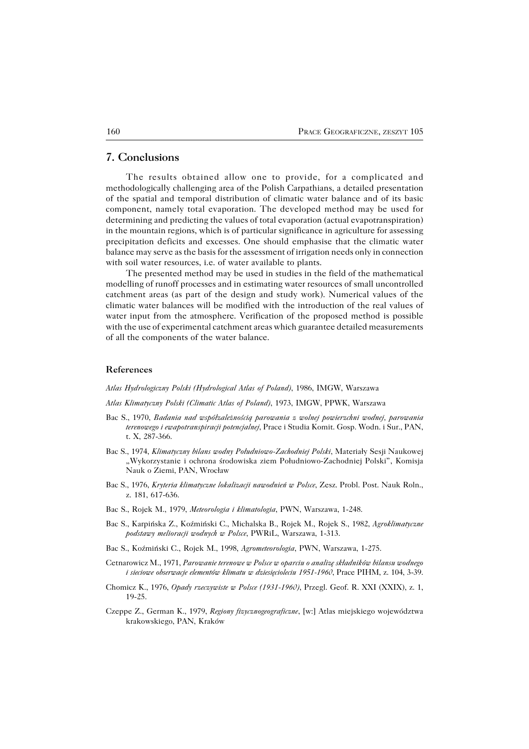## **7. Conclusions**

The results obtained allow one to provide, for a complicated and methodologically challenging area of the Polish Carpathians, a detailed presentation of the spatial and temporal distribution of climatic water balance and of its basic component, namely total evaporation. The developed method may be used for determining and predicting the values of total evaporation (actual evapotranspiration) in the mountain regions, which is of particular significance in agriculture for assessing precipitation deficits and excesses. One should emphasise that the climatic water balance may serve as the basis for the assessment of irrigation needs only in connection with soil water resources, i.e. of water available to plants.

The presented method may be used in studies in the field of the mathematical modelling of runoff processes and in estimating water resources of small uncontrolled catchment areas (as part of the design and study work). Numerical values of the climatic water balances will be modified with the introduction of the real values of water input from the atmosphere. Verification of the proposed method is possible with the use of experimental catchment areas which guarantee detailed measurements of all the components of the water balance.

#### **References**

*Atlas Hydrologiczny Polski (Hydrological Atlas of Poland)*, 1986, IMGW, Warszawa

*Atlas Klimatyczny Polski (Climatic Atlas of Poland)*, 1973, IMGW, PPWK, Warszawa

- Bac S., 1970, *Badania nad współzależnością parowania z wolnej powierzchni wodnej, parowania terenowego i ewapotranspiracji potencjalnej*, Prace i Studia Komit. Gosp. Wodn. i Sur., PAN, t. X, 287−366.
- Bac S., 1974, *Klimatyczny bilans wodny Południowo−Zachodniej Polski*, Materiały Sesji Naukowej "Wykorzystanie i ochrona środowiska ziem Południowo-Zachodniej Polski", Komisja Nauk o Ziemi, PAN, Wrocław
- Bac S., 1976, *Kryteria klimatyczne lokalizacji nawodnień w Polsce*, Zesz. Probl. Post. Nauk Roln., z. 181, 617−636.
- Bac S., Rojek M., 1979, *Meteorologia i klimatologia*, PWN, Warszawa, 1−248.
- Bac S., Karpińska Z., Koźmiński C., Michalska B., Rojek M., Rojek S., 1982, *Agroklimatyczne podstawy melioracji wodnych w Polsce*, PWRiL, Warszawa, 1−313.
- Bac S., Koźmiński C., Rojek M., 1998, *Agrometeorologia*, PWN, Warszawa, 1−275.
- Cetnarowicz M., 1971, *Parowanie terenowe w Polsce w oparciu o analizę składników bilansu wodnego i sieciowe obserwacje elementów klimatu w dziesięcioleciu 1951−1960*, Prace PIHM, z. 104, 3−39.
- Chomicz K., 1976, *Opady rzeczywiste w Polsce (1931−1960)*, Przegl. Geof. R. XXI (XXIX), z. 1, 19−25.
- Czeppe Z., German K., 1979, *Regiony fizycznogeograficzne*, [w:] Atlas miejskiego województwa krakowskiego, PAN, Kraków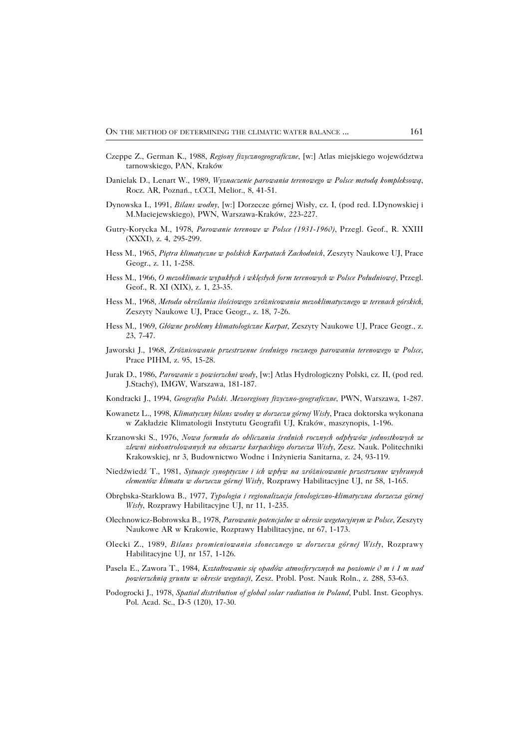- Czeppe Z., German K., 1988, *Regiony fizycznogeograficzne*, [w:] Atlas miejskiego województwa tarnowskiego, PAN, Kraków
- Danielak D., Lenart W., 1989, *Wyznaczenie parowania terenowego w Polsce metodą kompleksową*, Rocz. AR, Poznań., t.CCI, Melior., 8, 41−51.
- Dynowska I., 1991, *Bilans wodny*, [w:] Dorzecze górnej Wisły, cz. I, (pod red. I.Dynowskiej i M.Maciejewskiego), PWN, Warszawa−Kraków, 223−227.
- Gutry−Korycka M., 1978, *Parowanie terenowe w Polsce (1931−1960)*, Przegl. Geof., R. XXIII (XXXI), z. 4, 295−299.
- Hess M., 1965, *Piętra klimatyczne w polskich Karpatach Zachodnich*, Zeszyty Naukowe UJ, Prace Geogr., z. 11, 1−258.
- Hess M., 1966, *O mezoklimacie wypukłych i wklęsłych form terenowych w Polsce Południowej*, Przegl. Geof., R. XI (XIX), z. 1, 23−35.
- Hess M., 1968*, Metoda określania ilościowego zróżnicowania mezoklimatycznego w terenach górskich*, Zeszyty Naukowe UJ, Prace Geogr., z. 18, 7−26.
- Hess M., 1969, *Główne problemy klimatologiczne Karpat*, Zeszyty Naukowe UJ, Prace Geogr., z. 23, 7−47.
- Jaworski J., 1968, *Zróżnicowanie przestrzenne średniego rocznego parowania terenowego w Polsce*, Prace PIHM, z. 95, 15−28.
- Jurak D., 1986, *Parowanie z powierzchni wody*, [w:] Atlas Hydrologiczny Polski, cz. II, (pod red. J.Stachý), IMGW, Warszawa, 181−187.
- Kondracki J., 1994, *Geografia Polski. Mezoregiony fizyczno−geograficzne*, PWN, Warszawa, 1−287.
- Kowanetz L., 1998, *Klimatyczny bilans wodny w dorzeczu górnej Wisły*, Praca doktorska wykonana w Zakładzie Klimatologii Instytutu Geografii UJ, Kraków, maszynopis, 1−196.
- Krzanowski S., 1976, *Nowa formuła do obliczania średnich rocznych odpływów jednostkowych ze zlewni niekontrolowanych na obszarze karpackiego dorzecza Wisły*, Zesz. Nauk. Politechniki Krakowskiej, nr 3, Budownictwo Wodne i Inżynieria Sanitarna, z. 24, 93−119.
- Niedźwiedź T., 1981, *Sytuacje synoptyczne i ich wpływ na zróżnicowanie przestrzenne wybranych elementów klimatu w dorzeczu górnej Wisły*, Rozprawy Habilitacyjne UJ, nr 58, 1−165.
- Obrębska−Starklowa B., 1977, *Typologia i regionalizacja fenologiczno−klimatyczna dorzecza górnej Wisły*, Rozprawy Habilitacyjne UJ, nr 11, 1−235.
- Olechnowicz−Bobrowska B., 1978, *Parowanie potencjalne w okresie wegetacyjnym w Polsce*, Zeszyty Naukowe AR w Krakowie, Rozprawy Habilitacyjne, nr 67, 1−173.
- Olecki Z., 1989, *Bilans promieniowania słonecznego w dorzeczu górnej Wisły*, Rozprawy Habilitacyjne UJ, nr 157, 1−126.
- Pasela E., Zawora T., 1984, *Kształtowanie się opadów atmosferycznych na poziomie 0 m i 1 m nad powierzchnią gruntu w okresie wegetacji*, Zesz. Probl. Post. Nauk Roln., z. 288, 53−63.
- Podogrocki J., 1978, *Spatial distribution of global solar radiation in Poland*, Publ. Inst. Geophys. Pol. Acad. Sc., D−5 (120), 17−30.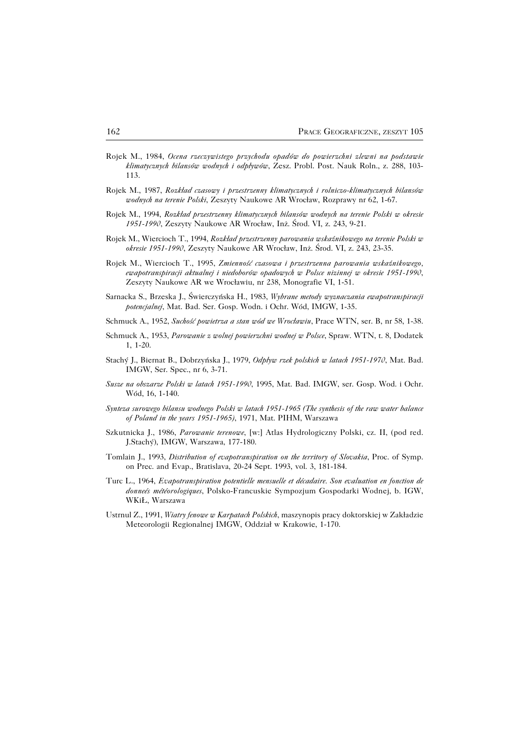- Rojek M., 1984, *Ocena rzeczywistego przychodu opadów do powierzchni zlewni na podstawie klimatycznych bilansów wodnych i odpływów*, Zesz. Probl. Post. Nauk Roln., z. 288, 103− 113.
- Rojek M., 1987, *Rozkład czasowy i przestrzenny klimatycznych i rolniczo−klimatycznych bilansów wodnych na terenie Polski*, Zeszyty Naukowe AR Wrocław, Rozprawy nr 62, 1−67.
- Rojek M., 1994, *Rozkład przestrzenny klimatycznych bilansów wodnych na terenie Polski w okresie 1951−1990*, Zeszyty Naukowe AR Wrocław, Inż. Środ. VI, z. 243, 9−21.
- Rojek M., Wiercioch T., 1994, *Rozkład przestrzenny parowania wskaźnikowego na terenie Polski w okresie 1951−1990*, Zeszyty Naukowe AR Wrocław, Inż. Środ. VI, z. 243, 23−35.
- Rojek M., Wiercioch T., 1995, *Zmienność czasowa i przestrzenna parowania wskaźnikowego, ewapotranspiracji aktualnej i niedoborów opadowych w Polsce nizinnej w okresie 1951−1990*, Zeszyty Naukowe AR we Wrocławiu, nr 238, Monografie VI, 1−51.
- Sarnacka S., Brzeska J., Świerczyńska H., 1983, *Wybrane metody wyznaczania ewapotranspiracji potencjalnej*, Mat. Bad. Ser. Gosp. Wodn. i Ochr. Wód, IMGW, 1−35.
- Schmuck A., 1952, *Suchość powietrza a stan wód we Wrocławiu*, Prace WTN, ser. B, nr 58, 1−38.
- Schmuck A., 1953, *Parowanie z wolnej powierzchni wodnej w Polsce*, Spraw. WTN, t. 8, Dodatek 1, 1−20.
- Stachý J., Biernat B., Dobrzyńska J., 1979, *Odpływ rzek polskich w latach 1951−1970*, Mat. Bad. IMGW, Ser. Spec., nr 6, 3−71.
- *Susze na obszarze Polski w latach 1951−1990*, 1995, Mat. Bad. IMGW, ser. Gosp. Wod. i Ochr. Wód, 16, 1−140.
- *Synteza surowego bilansu wodnego Polski w latach 1951−1965 (The synthesis of the raw water balance of Poland in the years 1951−1965)*, 1971, Mat. PIHM, Warszawa
- Szkutnicka J., 1986, *Parowanie terenowe*, [w:] Atlas Hydrologiczny Polski, cz. II, (pod red. J.Stachý), IMGW, Warszawa, 177−180.
- Tomlain J., 1993, *Distribution of evapotranspiration on the territory of Slovakia*, Proc. of Symp. on Prec. and Evap., Bratislava, 20−24 Sept. 1993, vol. 3, 181−184.
- Turc L., 1964, *Evapotranspiration potentielle mensuelle et décadaire. Son evaluation en fonction de donneés météorologiques*, Polsko−Francuskie Sympozjum Gospodarki Wodnej, b. IGW, WKiŁ, Warszawa
- Ustrnul Z., 1991, *Wiatry fenowe w Karpatach Polskich*, maszynopis pracy doktorskiej w Zakładzie Meteorologii Regionalnej IMGW, Oddział w Krakowie, 1−170.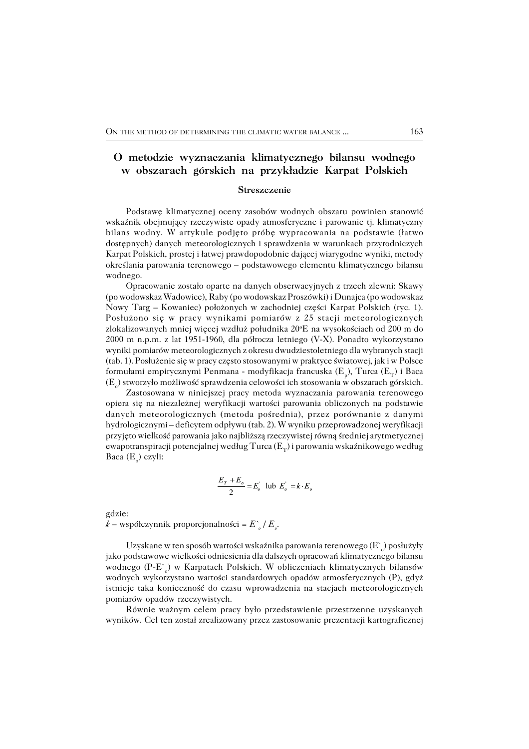# **O metodzie wyznaczania klimatycznego bilansu wodnego w obszarach górskich na przykładzie Karpat Polskich**

### **Streszczenie**

Podstawę klimatycznej oceny zasobów wodnych obszaru powinien stanowić wskaźnik obejmujący rzeczywiste opady atmosferyczne i parowanie tj. klimatyczny bilans wodny. W artykule podjęto próbę wypracowania na podstawie (łatwo dostępnych) danych meteorologicznych i sprawdzenia w warunkach przyrodniczych Karpat Polskich, prostej i łatwej prawdopodobnie dającej wiarygodne wyniki, metody określania parowania terenowego – podstawowego elementu klimatycznego bilansu wodnego.

Opracowanie zostało oparte na danych obserwacyjnych z trzech zlewni: Skawy (po wodowskaz Wadowice), Raby (po wodowskaz Proszówki) i Dunajca (po wodowskaz Nowy Targ – Kowaniec) położonych w zachodniej części Karpat Polskich (ryc. 1). Posłużono się w pracy wynikami pomiarów z 25 stacji meteorologicznych zlokalizowanych mniej więcej wzdłuż południka 20°E na wysokościach od 200 m do 2000 m n.p.m. z lat 1951−1960, dla półrocza letniego (V−X). Ponadto wykorzystano wyniki pomiarów meteorologicznych z okresu dwudziestoletniego dla wybranych stacji (tab. 1). Posłużenie się w pracy często stosowanymi w praktyce światowej, jak i wPolsce formułami empirycznymi Penmana - modyfikacja francuska (E<sub>p</sub>), Turca (E<sub>T</sub>) i Baca  $(\text{E}_{_{\text{o}}})$  stworzyło możliwość sprawdzenia celowości ich stosowania w obszarach górskich.

Zastosowana w niniejszej pracy metoda wyznaczania parowania terenowego opiera się na niezależnej weryfikacji wartości parowania obliczonych na podstawie danych meteorologicznych (metoda pośrednia), przez porównanie z danymi hydrologicznymi – deficytem odpływu (tab. 2). W wyniku przeprowadzonej weryfikacji przyjęto wielkość parowania jako najbliższą rzeczywistej równą średniej arytmetycznej ewapotranspiracji potencjalnej według Turca ( $\mathrm{E_{_{T}}}$ ) i parowania wskaźnikowego według Baca (E<sub>o</sub>) czyli:

$$
\frac{E_T + E_o}{2} = E'_o
$$
 lub  $E'_o = k \cdot E_o$ 

gdzie:

*k* – współczynnik proporcjonalności *= E` o / E<sup>o</sup>* .

Uzyskane w ten sposób wartości wskaźnika parowania terenowego (E` ) posłużyły jako podstawowe wielkości odniesienia dla dalszych opracowań klimatycznego bilansu wodnego (P−E` o ) w Karpatach Polskich. W obliczeniach klimatycznych bilansów wodnych wykorzystano wartości standardowych opadów atmosferycznych (P), gdyż istnieje taka konieczność do czasu wprowadzenia na stacjach meteorologicznych pomiarów opadów rzeczywistych.

Równie ważnym celem pracy było przedstawienie przestrzenne uzyskanych wyników. Cel ten został zrealizowany przez zastosowanie prezentacji kartograficznej